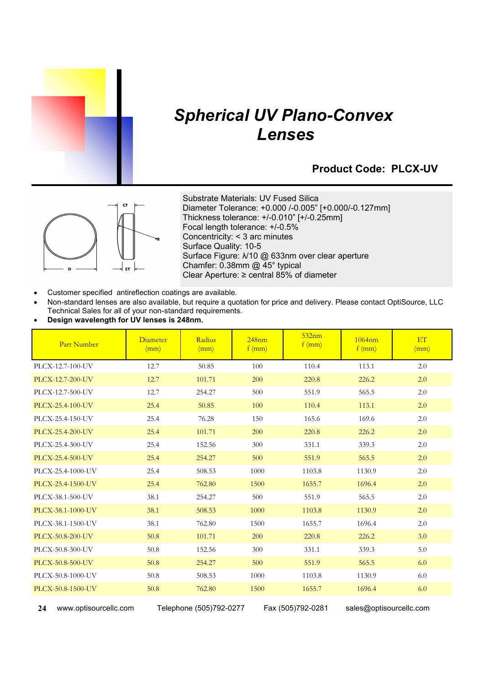

## *Spherical UV Plano-Convex Lenses*

#### **Product Code: PLCX-UV**



Substrate Materials: UV Fused Silica Diameter Tolerance: +0.000 /-0.005" [+0.000/-0.127mm] Thickness tolerance: +/-0.010" [+/-0.25mm] Focal length tolerance: +/-0.5% Concentricity: < 3 arc minutes Surface Quality: 10-5 Surface Figure: λ/10 @ 633nm over clear aperture Chamfer: 0.38mm @ 45° typical Clear Aperture: ≥ central 85% of diameter

- Customer specified antireflection coatings are available.
- x Non-standard lenses are also available, but require a quotation for price and delivery. Please contact OptiSource, LLC Technical Sales for all of your non-standard requirements.
- x **Design wavelength for UV lenses is 248nm.**

| Part Number       | <b>Diameter</b><br>(mm) | Radius<br>(mm) | $248$ nm<br>$f$ (mm) | 532nm<br>$f$ (mm) | 1064nm<br>$f$ (mm) | ET<br>(mm) |
|-------------------|-------------------------|----------------|----------------------|-------------------|--------------------|------------|
| PLCX-12.7-100-UV  | 12.7                    | 50.85          | 100                  | 110.4             | 113.1              | 2.0        |
| PLCX-12.7-200-UV  | 12.7                    | 101.71         | 200                  | 220.8             | 226.2              | 2.0        |
| PLCX-12.7-500-UV  | 12.7                    | 254.27         | 500                  | 551.9             | 565.5              | 2.0        |
| PLCX-25.4-100-UV  | 25.4                    | 50.85          | 100                  | 110.4             | 113.1              | 2.0        |
| PLCX-25.4-150-UV  | 25.4                    | 76.28          | 150                  | 165.6             | 169.6              | 2.0        |
| PLCX-25.4-200-UV  | 25.4                    | 101.71         | 200                  | 220.8             | 226.2              | 2.0        |
| PLCX-25.4-300-UV  | 25.4                    | 152.56         | 300                  | 331.1             | 339.3              | 2.0        |
| PLCX-25.4-500-UV  | 25.4                    | 254.27         | 500                  | 551.9             | 565.5              | 2.0        |
| PLCX-25.4-1000-UV | 25.4                    | 508.53         | 1000                 | 1103.8            | 1130.9             | 2.0        |
| PLCX-25.4-1500-UV | 25.4                    | 762.80         | 1500                 | 1655.7            | 1696.4             | 2.0        |
| PLCX-38.1-500-UV  | 38.1                    | 254.27         | 500                  | 551.9             | 565.5              | 2.0        |
| PLCX-38.1-1000-UV | 38.1                    | 508.53         | 1000                 | 1103.8            | 1130.9             | 2.0        |
| PLCX-38.1-1500-UV | 38.1                    | 762.80         | 1500                 | 1655.7            | 1696.4             | 2.0        |
| PLCX-50.8-200-UV  | 50.8                    | 101.71         | 200                  | 220.8             | 226.2              | 3.0        |
| PLCX-50.8-300-UV  | 50.8                    | 152.56         | 300                  | 331.1             | 339.3              | 5.0        |
| PLCX-50.8-500-UV  | 50.8                    | 254.27         | 500                  | 551.9             | 565.5              | 6.0        |
| PLCX-50.8-1000-UV | 50.8                    | 508.53         | 1000                 | 1103.8            | 1130.9             | 6.0        |
| PLCX-50.8-1500-UV | 50.8                    | 762.80         | 1500                 | 1655.7            | 1696.4             | 6.0        |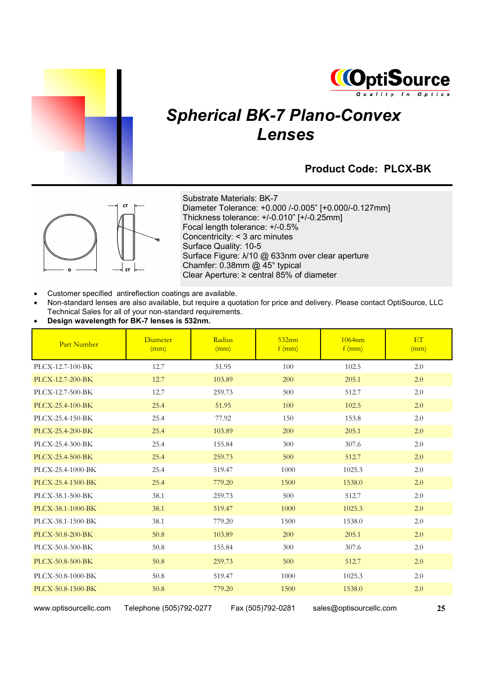



## *Spherical BK-7 Plano-Convex Lenses*

#### **Product Code: PLCX-BK**



Substrate Materials: BK-7 Diameter Tolerance: +0.000 /-0.005" [+0.000/-0.127mm] Thickness tolerance: +/-0.010" [+/-0.25mm] Focal length tolerance: +/-0.5% Concentricity: < 3 arc minutes Surface Quality: 10-5 Surface Figure: λ/10 @ 633nm over clear aperture Chamfer: 0.38mm @ 45° typical Clear Aperture: ≥ central 85% of diameter

- Customer specified antireflection coatings are available.
- x Non-standard lenses are also available, but require a quotation for price and delivery. Please contact OptiSource, LLC Technical Sales for all of your non-standard requirements.
- x **Design wavelength for BK-7 lenses is 532nm.**

| Part Number       | Diameter<br>(mm) | Radius<br>(mm) | 532nm<br>$f$ (mm) | 1064nm<br>$f$ (mm) | ET<br>(mm) |
|-------------------|------------------|----------------|-------------------|--------------------|------------|
| PLCX-12.7-100-BK  | 12.7             | 51.95          | 100               | 102.5              | 2.0        |
| PLCX-12.7-200-BK  | 12.7             | 103.89         | 200               | 205.1              | 2.0        |
| PLCX-12.7-500-BK  | 12.7             | 259.73         | 500               | 512.7              | 2.0        |
| PLCX-25.4-100-BK  | 25.4             | 51.95          | 100               | 102.5              | 2.0        |
| PLCX-25.4-150-BK  | 25.4             | 77.92          | 150               | 153.8              | 2.0        |
| PLCX-25.4-200-BK  | 25.4             | 103.89         | 200               | 205.1              | 2.0        |
| PLCX-25.4-300-BK  | 25.4             | 155.84         | 300               | 307.6              | 2.0        |
| PLCX-25.4-500-BK  | 25.4             | 259.73         | 500               | 512.7              | 2.0        |
| PLCX-25.4-1000-BK | 25.4             | 519.47         | 1000              | 1025.3             | 2.0        |
| PLCX-25.4-1500-BK | 25.4             | 779.20         | 1500              | 1538.0             | 2.0        |
| PLCX-38.1-500-BK  | 38.1             | 259.73         | 500               | 512.7              | 2.0        |
| PLCX-38.1-1000-BK | 38.1             | 519.47         | 1000              | 1025.3             | 2.0        |
| PLCX-38.1-1500-BK | 38.1             | 779.20         | 1500              | 1538.0             | 2.0        |
| PLCX-50.8-200-BK  | 50.8             | 103.89         | 200               | 205.1              | 2.0        |
| PLCX-50.8-300-BK  | 50.8             | 155.84         | 300               | 307.6              | 2.0        |
| PLCX-50.8-500-BK  | 50.8             | 259.73         | 500               | 512.7              | 2.0        |
| PLCX-50.8-1000-BK | 50.8             | 519.47         | 1000              | 1025.3             | 2.0        |
| PLCX-50.8-1500-BK | 50.8             | 779.20         | 1500              | 1538.0             | 2.0        |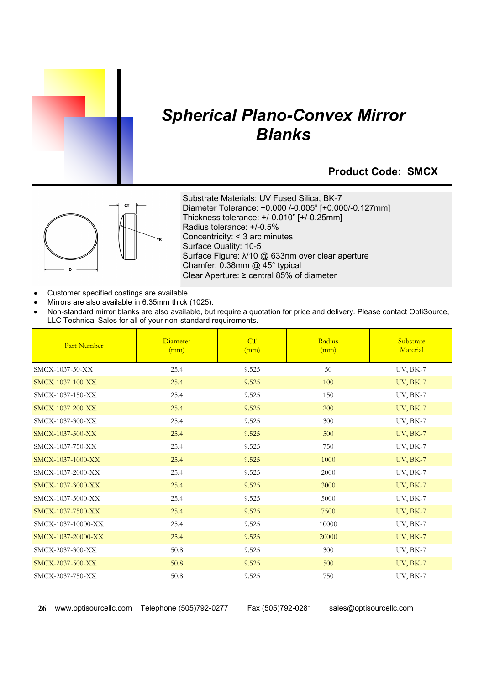

## *Spherical Plano-Convex Mirror Blanks*

#### **Product Code: SMCX**



Substrate Materials: UV Fused Silica, BK-7 Diameter Tolerance: +0.000 /-0.005" [+0.000/-0.127mm] Thickness tolerance: +/-0.010" [+/-0.25mm] Radius tolerance: +/-0.5% Concentricity: < 3 arc minutes Surface Quality: 10-5 Surface Figure: λ/10 @ 633nm over clear aperture Chamfer: 0.38mm @ 45° typical Clear Aperture: ≥ central 85% of diameter

- Customer specified coatings are available.
- Mirrors are also available in 6.35mm thick (1025).
- x Non-standard mirror blanks are also available, but require a quotation for price and delivery. Please contact OptiSource, LLC Technical Sales for all of your non-standard requirements.

| <b>Part Number</b> | Diameter<br>(mm) | CT<br>(mm) | Radius<br>(mm) | Substrate<br>Material |
|--------------------|------------------|------------|----------------|-----------------------|
| SMCX-1037-50-XX    | 25.4             | 9.525      | 50             | UV, BK-7              |
| SMCX-1037-100-XX   | 25.4             | 9.525      | 100            | <b>UV, BK-7</b>       |
| SMCX-1037-150-XX   | 25.4             | 9.525      | 150            | UV, BK-7              |
| SMCX-1037-200-XX   | 25.4             | 9.525      | 200            | $UV, BK-7$            |
| SMCX-1037-300-XX   | 25.4             | 9.525      | 300            | UV, BK-7              |
| SMCX-1037-500-XX   | 25.4             | 9.525      | 500            | <b>UV, BK-7</b>       |
| SMCX-1037-750-XX   | 25.4             | 9.525      | 750            | UV, BK-7              |
| SMCX-1037-1000-XX  | 25.4             | 9.525      | 1000           | <b>UV, BK-7</b>       |
| SMCX-1037-2000-XX  | 25.4             | 9.525      | 2000           | UV, BK-7              |
| SMCX-1037-3000-XX  | 25.4             | 9.525      | 3000           | <b>UV, BK-7</b>       |
| SMCX-1037-5000-XX  | 25.4             | 9.525      | 5000           | UV, BK-7              |
| SMCX-1037-7500-XX  | 25.4             | 9.525      | 7500           | <b>UV, BK-7</b>       |
| SMCX-1037-10000-XX | 25.4             | 9.525      | 10000          | UV, BK-7              |
| SMCX-1037-20000-XX | 25.4             | 9.525      | 20000          | $UV, BK-7$            |
| SMCX-2037-300-XX   | 50.8             | 9.525      | 300            | UV, BK-7              |
| SMCX-2037-500-XX   | 50.8             | 9.525      | 500            | $UV, BK-7$            |
| SMCX-2037-750-XX   | 50.8             | 9.525      | 750            | UV, BK-7              |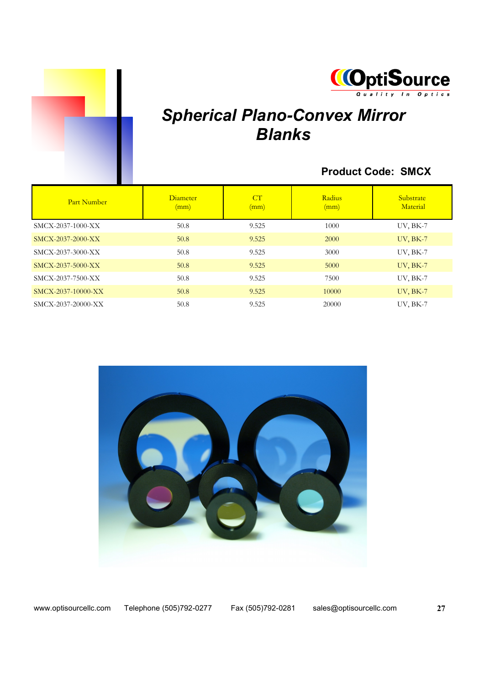



# *Spherical Plano-Convex Mirror Blanks*

### **Product Code: SMCX**

| Part Number        | <b>Diameter</b><br>(mm) | CT<br>(mm) | Radius<br>(mm) | Substrate<br>Material |
|--------------------|-------------------------|------------|----------------|-----------------------|
| SMCX-2037-1000-XX  | 50.8                    | 9.525      | 1000           | UV, BK-7              |
| SMCX-2037-2000-XX  | 50.8                    | 9.525      | 2000           | $UV, BK-7$            |
| SMCX-2037-3000-XX  | 50.8                    | 9.525      | 3000           | UV, BK-7              |
| SMCX-2037-5000-XX  | 50.8                    | 9.525      | 5000           | $UV, BK-7$            |
| SMCX-2037-7500-XX  | 50.8                    | 9.525      | 7500           | UV, BK-7              |
| SMCX-2037-10000-XX | 50.8                    | 9.525      | 10000          | $UV$ , $BK-7$         |
| SMCX-2037-20000-XX | 50.8                    | 9.525      | 20000          | UV, BK-7              |

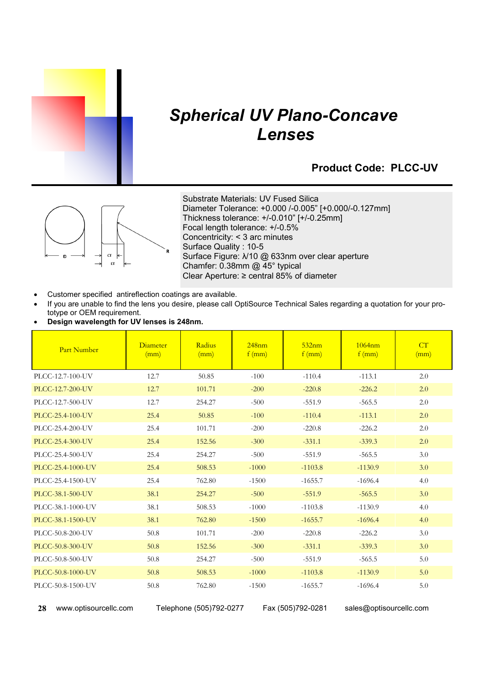

### *Spherical UV Plano-Concave Lenses*

#### **Product Code: PLCC-UV**



Substrate Materials: UV Fused Silica Diameter Tolerance: +0.000 /-0.005" [+0.000/-0.127mm] Thickness tolerance: +/-0.010" [+/-0.25mm] Focal length tolerance: +/-0.5% Concentricity: < 3 arc minutes Surface Quality : 10-5 Surface Figure: λ/10 @ 633nm over clear aperture Chamfer: 0.38mm @ 45° typical Clear Aperture: ≥ central 85% of diameter

- Customer specified antireflection coatings are available.
- If you are unable to find the lens you desire, please call OptiSource Technical Sales regarding a quotation for your prototype or OEM requirement.
- x **Design wavelength for UV lenses is 248nm.**

| <b>Part Number</b> | <b>Diameter</b><br>(mm) | Radius<br>(mm) | 248nm<br>$f$ (mm) | 532nm<br>$f$ (mm) | 1064nm<br>$f$ (mm) | CT<br>(mm) |
|--------------------|-------------------------|----------------|-------------------|-------------------|--------------------|------------|
| PLCC-12.7-100-UV   | 12.7                    | 50.85          | $-100$            | $-110.4$          | $-113.1$           | 2.0        |
| PLCC-12.7-200-UV   | 12.7                    | 101.71         | $-200$            | $-220.8$          | $-226.2$           | 2.0        |
| PLCC-12.7-500-UV   | 12.7                    | 254.27         | $-500$            | $-551.9$          | $-565.5$           | 2.0        |
| PLCC-25.4-100-UV   | 25.4                    | 50.85          | $-100$            | $-110.4$          | $-113.1$           | 2.0        |
| PLCC-25.4-200-UV   | 25.4                    | 101.71         | $-200$            | $-220.8$          | $-226.2$           | 2.0        |
| PLCC-25.4-300-UV   | 25.4                    | 152.56         | $-300$            | $-331.1$          | $-339.3$           | 2.0        |
| PLCC-25.4-500-UV   | 25.4                    | 254.27         | $-500$            | $-551.9$          | $-565.5$           | 3.0        |
| PLCC-25.4-1000-UV  | 25.4                    | 508.53         | $-1000$           | $-1103.8$         | $-1130.9$          | 3.0        |
| PLCC-25.4-1500-UV  | 25.4                    | 762.80         | $-1500$           | $-1655.7$         | $-1696.4$          | 4.0        |
| PLCC-38.1-500-UV   | 38.1                    | 254.27         | $-500$            | $-551.9$          | $-565.5$           | 3.0        |
| PLCC-38.1-1000-UV  | 38.1                    | 508.53         | $-1000$           | $-1103.8$         | $-1130.9$          | 4.0        |
| PLCC-38.1-1500-UV  | 38.1                    | 762.80         | $-1500$           | $-1655.7$         | $-1696.4$          | 4.0        |
| PLCC-50.8-200-UV   | 50.8                    | 101.71         | $-200$            | $-220.8$          | $-226.2$           | 3.0        |
| PLCC-50.8-300-UV   | 50.8                    | 152.56         | $-300$            | $-331.1$          | $-339.3$           | 3.0        |
| PLCC-50.8-500-UV   | 50.8                    | 254.27         | $-500$            | $-551.9$          | $-565.5$           | 5.0        |
| PLCC-50.8-1000-UV  | 50.8                    | 508.53         | $-1000$           | $-1103.8$         | $-1130.9$          | 5.0        |
| PLCC-50.8-1500-UV  | 50.8                    | 762.80         | $-1500$           | $-1655.7$         | $-1696.4$          | 5.0        |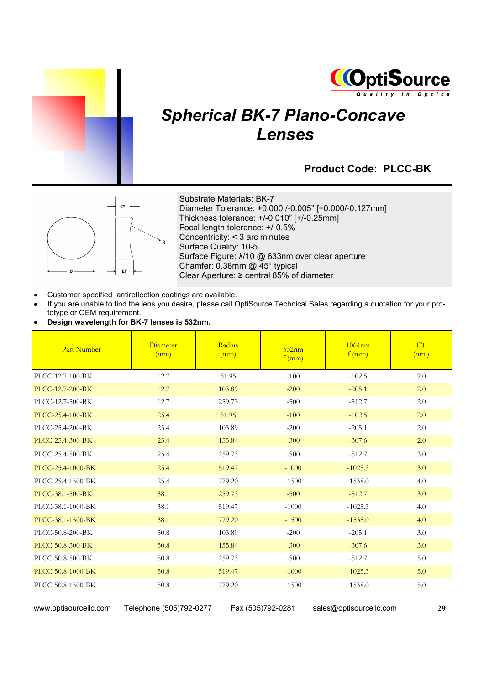



### *Spherical BK-7 Plano-Concave Lenses*

#### **Product Code: PLCC-BK**



Substrate Materials: BK-7 Diameter Tolerance: +0.000 /-0.005" [+0.000/-0.127mm] Thickness tolerance: +/-0.010" [+/-0.25mm] Focal length tolerance: +/-0.5% Concentricity: < 3 arc minutes Surface Quality: 10-5 Surface Figure: λ/10 @ 633nm over clear aperture Chamfer: 0.38mm @ 45° typical Clear Aperture: ≥ central 85% of diameter

- Customer specified antireflection coatings are available.
- If you are unable to find the lens you desire, please call OptiSource Technical Sales regarding a quotation for your prototype or OEM requirement.
- x **Design wavelength for BK-7 lenses is 532nm.**

| <b>Part Number</b> | <b>Diameter</b><br>(mm) | Radius<br>(mm) | 532nm<br>$f$ (mm) | 1064nm<br>$f$ (mm) | CT<br>(mm) |
|--------------------|-------------------------|----------------|-------------------|--------------------|------------|
| PLCC-12.7-100-BK   | 12.7                    | 51.95          | $-100$            | $-102.5$           | 2.0        |
| PLCC-12.7-200-BK   | 12.7                    | 103.89         | $-200$            | $-205.1$           | 2.0        |
| PLCC-12.7-500-BK   | 12.7                    | 259.73         | $-500$            | $-512.7$           | 2.0        |
| PLCC-25.4-100-BK   | 25.4                    | 51.95          | $-100$            | $-102.5$           | 2.0        |
| PLCC-25.4-200-BK   | 25.4                    | 103.89         | $-200$            | $-205.1$           | 2.0        |
| PLCC-25.4-300-BK   | 25.4                    | 155.84         | $-300$            | $-307.6$           | 2.0        |
| PLCC-25.4-500-BK   | 25.4                    | 259.73         | $-500$            | $-512.7$           | 3.0        |
| PLCC-25.4-1000-BK  | 25.4                    | 519.47         | $-1000$           | $-1025.3$          | 3.0        |
| PLCC-25.4-1500-BK  | 25.4                    | 779.20         | $-1500$           | $-1538.0$          | 4.0        |
| PLCC-38.1-500-BK   | 38.1                    | 259.73         | $-500$            | $-512.7$           | 3.0        |
| PLCC-38.1-1000-BK  | 38.1                    | 519.47         | $-1000$           | $-1025.3$          | 4.0        |
| PLCC-38.1-1500-BK  | 38.1                    | 779.20         | $-1500$           | $-1538.0$          | 4.0        |
| PLCC-50.8-200-BK   | 50.8                    | 103.89         | $-200$            | $-205.1$           | 3.0        |
| PLCC-50.8-300-BK   | 50.8                    | 155.84         | $-300$            | $-307.6$           | 3.0        |
| PLCC-50.8-500-BK   | 50.8                    | 259.73         | $-500$            | $-512.7$           | 5.0        |
| PLCC-50.8-1000-BK  | 50.8                    | 519.47         | $-1000$           | $-1025.3$          | 5.0        |
| PLCC-50.8-1500-BK  | 50.8                    | 779.20         | $-1500$           | $-1538.0$          | 5.0        |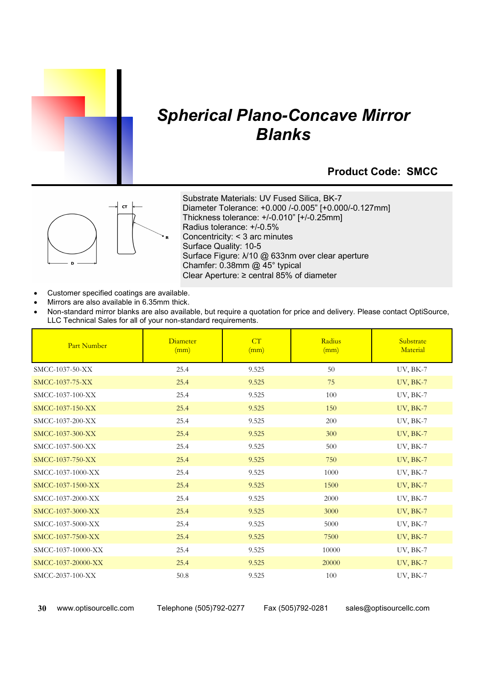

### *Spherical Plano-Concave Mirror Blanks*

#### **Product Code: SMCC**



Substrate Materials: UV Fused Silica, BK-7 Diameter Tolerance: +0.000 /-0.005" [+0.000/-0.127mm] Thickness tolerance: +/-0.010" [+/-0.25mm] Radius tolerance: +/-0.5% Concentricity: < 3 arc minutes Surface Quality: 10-5 Surface Figure: λ/10 @ 633nm over clear aperture Chamfer: 0.38mm @ 45° typical Clear Aperture: ≥ central 85% of diameter

- Customer specified coatings are available.
- Mirrors are also available in 6.35mm thick.
- x Non-standard mirror blanks are also available, but require a quotation for price and delivery. Please contact OptiSource, LLC Technical Sales for all of your non-standard requirements.

| <b>Part Number</b> | <b>Diameter</b><br>(mm) | CT<br>(mm) | Radius<br>(mm) | Substrate<br>Material |
|--------------------|-------------------------|------------|----------------|-----------------------|
| SMCC-1037-50-XX    | 25.4                    | 9.525      | 50             | UV, BK-7              |
| SMCC-1037-75-XX    | 25.4                    | 9.525      | 75             | <b>UV, BK-7</b>       |
| SMCC-1037-100-XX   | 25.4                    | 9.525      | 100            | <b>UV, BK-7</b>       |
| SMCC-1037-150-XX   | 25.4                    | 9.525      | 150            | <b>UV, BK-7</b>       |
| SMCC-1037-200-XX   | 25.4                    | 9.525      | 200            | <b>UV, BK-7</b>       |
| SMCC-1037-300-XX   | 25.4                    | 9.525      | 300            | <b>UV, BK-7</b>       |
| SMCC-1037-500-XX   | 25.4                    | 9.525      | 500            | <b>UV, BK-7</b>       |
| SMCC-1037-750-XX   | 25.4                    | 9.525      | 750            | <b>UV, BK-7</b>       |
| SMCC-1037-1000-XX  | 25.4                    | 9.525      | 1000           | <b>UV, BK-7</b>       |
| SMCC-1037-1500-XX  | 25.4                    | 9.525      | 1500           | <b>UV, BK-7</b>       |
| SMCC-1037-2000-XX  | 25.4                    | 9.525      | 2000           | <b>UV, BK-7</b>       |
| SMCC-1037-3000-XX  | 25.4                    | 9.525      | 3000           | <b>UV, BK-7</b>       |
| SMCC-1037-5000-XX  | 25.4                    | 9.525      | 5000           | <b>UV, BK-7</b>       |
| SMCC-1037-7500-XX  | 25.4                    | 9.525      | 7500           | <b>UV, BK-7</b>       |
| SMCC-1037-10000-XX | 25.4                    | 9.525      | 10000          | <b>UV, BK-7</b>       |
| SMCC-1037-20000-XX | 25.4                    | 9.525      | 20000          | <b>UV, BK-7</b>       |
| SMCC-2037-100-XX   | 50.8                    | 9.525      | 100            | <b>UV, BK-7</b>       |